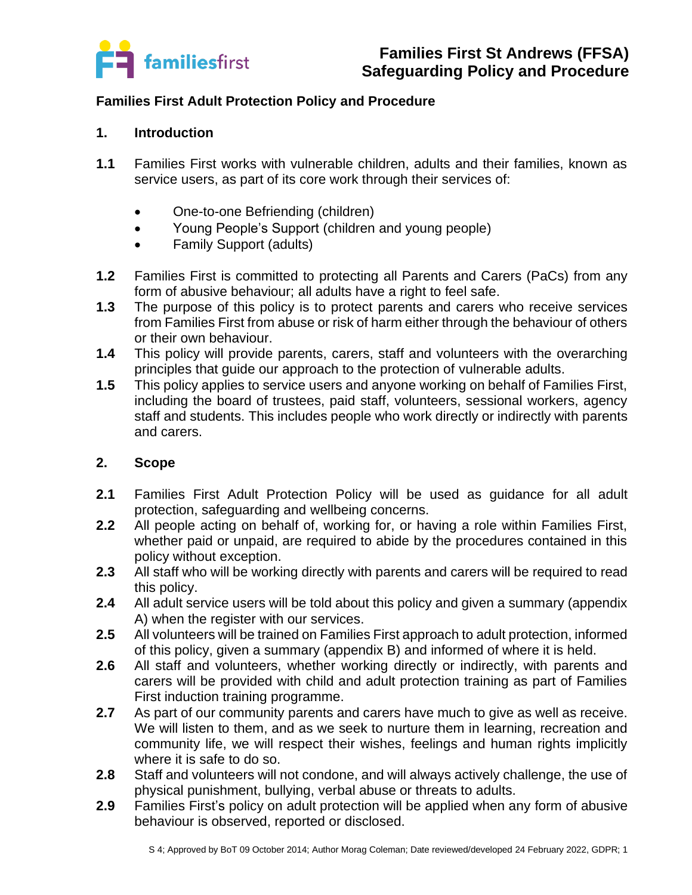

## **Families First Adult Protection Policy and Procedure**

#### **1. Introduction**

- **1.1** Families First works with vulnerable children, adults and their families, known as service users, as part of its core work through their services of:
	- One-to-one Befriending (children)
	- Young People's Support (children and young people)
	- Family Support (adults)
- **1.2** Families First is committed to protecting all Parents and Carers (PaCs) from any form of abusive behaviour; all adults have a right to feel safe.
- **1.3** The purpose of this policy is to protect parents and carers who receive services from Families First from abuse or risk of harm either through the behaviour of others or their own behaviour.
- **1.4** This policy will provide parents, carers, staff and volunteers with the overarching principles that guide our approach to the protection of vulnerable adults.
- **1.5** This policy applies to service users and anyone working on behalf of Families First, including the board of trustees, paid staff, volunteers, sessional workers, agency staff and students. This includes people who work directly or indirectly with parents and carers.

## **2. Scope**

- **2.1** Families First Adult Protection Policy will be used as guidance for all adult protection, safeguarding and wellbeing concerns.
- **2.2** All people acting on behalf of, working for, or having a role within Families First, whether paid or unpaid, are required to abide by the procedures contained in this policy without exception.
- **2.3** All staff who will be working directly with parents and carers will be required to read this policy.
- **2.4** All adult service users will be told about this policy and given a summary (appendix A) when the register with our services.
- **2.5** All volunteers will be trained on Families First approach to adult protection, informed of this policy, given a summary (appendix B) and informed of where it is held.
- **2.6** All staff and volunteers, whether working directly or indirectly, with parents and carers will be provided with child and adult protection training as part of Families First induction training programme.
- **2.7** As part of our community parents and carers have much to give as well as receive. We will listen to them, and as we seek to nurture them in learning, recreation and community life, we will respect their wishes, feelings and human rights implicitly where it is safe to do so.
- **2.8** Staff and volunteers will not condone, and will always actively challenge, the use of physical punishment, bullying, verbal abuse or threats to adults.
- **2.9** Families First's policy on adult protection will be applied when any form of abusive behaviour is observed, reported or disclosed.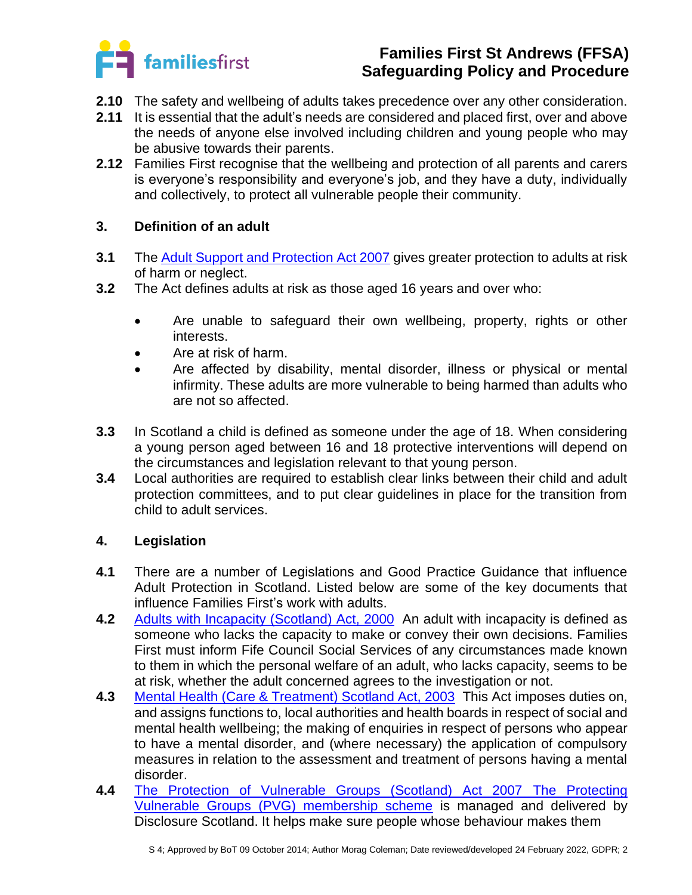

- **2.10** The safety and wellbeing of adults takes precedence over any other consideration.
- **2.11** It is essential that the adult's needs are considered and placed first, over and above the needs of anyone else involved including children and young people who may be abusive towards their parents.
- **2.12** Families First recognise that the wellbeing and protection of all parents and carers is everyone's responsibility and everyone's job, and they have a duty, individually and collectively, to protect all vulnerable people their community.

## **3. Definition of an adult**

- **3.1** The [Adult Support and Protection Act 2007](https://www.legislation.gov.uk/asp/2007/10/contents) gives greater protection to adults at risk of harm or neglect.
- **3.2** The Act defines adults at risk as those aged 16 years and over who:
	- Are unable to safeguard their own wellbeing, property, rights or other interests.
	- Are at risk of harm.
	- Are affected by disability, mental disorder, illness or physical or mental infirmity. These adults are more vulnerable to being harmed than adults who are not so affected.
- **3.3** In Scotland a child is defined as someone under the age of 18. When considering a young person aged between 16 and 18 protective interventions will depend on the circumstances and legislation relevant to that young person.
- **3.4** Local authorities are required to establish clear links between their child and adult protection committees, and to put clear guidelines in place for the transition from child to adult services.

## **4. Legislation**

- **4.1** There are a number of Legislations and Good Practice Guidance that influence Adult Protection in Scotland. Listed below are some of the key documents that influence Families First's work with adults.
- **4.2** [Adults with Incapacity \(Scotland\) Act, 2000](http://www.legislation.gov.uk/asp/2000/4/contents) An adult with incapacity is defined as someone who lacks the capacity to make or convey their own decisions. Families First must inform Fife Council Social Services of any circumstances made known to them in which the personal welfare of an adult, who lacks capacity, seems to be at risk, whether the adult concerned agrees to the investigation or not.
- **4.3** [Mental Health \(Care & Treatment\) Scotland Act, 2003](http://www.legislation.gov.uk/asp/2003/13/contents) This Act imposes duties on, and assigns functions to, local authorities and health boards in respect of social and mental health wellbeing; the making of enquiries in respect of persons who appear to have a mental disorder, and (where necessary) the application of compulsory measures in relation to the assessment and treatment of persons having a mental disorder.
- **4.4** [The Protection of Vulnerable Groups \(Scotland\) Act 2007](https://www.legislation.gov.uk/asp/2007/14/contents) [The Protecting](https://www.mygov.scot/pvg-scheme)  [Vulnerable Groups \(PVG\) membership scheme](https://www.mygov.scot/pvg-scheme) is managed and delivered by Disclosure Scotland. It helps make sure people whose behaviour makes them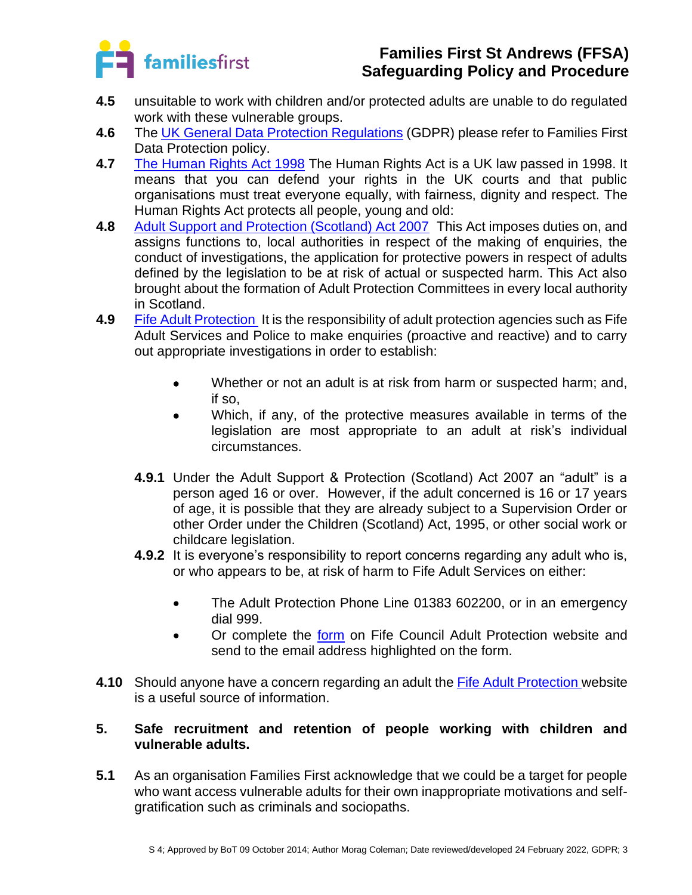

- **4.5** unsuitable to work with children and/or protected adults are unable to do regulated work with these vulnerable groups.
- **4.6** The [UK General Data Protection Regulations](https://ico.org.uk/for-organisations/guide-to-data-protection/guide-to-the-general-data-protection-regulation-gdpr/) (GDPR) please refer to Families First Data Protection policy.
- **4.7** [The Human Rights Act 1998](http://www.legislation.gov.uk/ukpga/1998/42/contents) The Human Rights Act is a UK law passed in 1998. It means that you can defend your rights in the UK courts and that public organisations must treat everyone equally, with fairness, dignity and respect. The Human Rights Act protects all people, young and old:
- 4.8 [Adult Support and Protection \(Scotland\) Act 2007](http://www.legislation.gov.uk/asp/2007/10/contents) This Act imposes duties on, and assigns functions to, local authorities in respect of the making of enquiries, the conduct of investigations, the application for protective powers in respect of adults defined by the legislation to be at risk of actual or suspected harm. This Act also brought about the formation of Adult Protection Committees in every local authority in Scotland.
- **4.9** [Fife Adult Protection](https://www.fife.gov.uk/kb/docs/articles/health-and-social-care2/help-for-adults-and-older-people/adult-support-and-protection) It is the responsibility of adult protection agencies such as Fife Adult Services and Police to make enquiries (proactive and reactive) and to carry out appropriate investigations in order to establish:
	- Whether or not an adult is at risk from harm or suspected harm; and, if so,
	- Which, if any, of the protective measures available in terms of the legislation are most appropriate to an adult at risk's individual circumstances.
	- **4.9.1** Under the Adult Support & Protection (Scotland) Act 2007 an "adult" is a person aged 16 or over. However, if the adult concerned is 16 or 17 years of age, it is possible that they are already subject to a Supervision Order or other Order under the Children (Scotland) Act, 1995, or other social work or childcare legislation.
	- **4.9.2** It is everyone's responsibility to report concerns regarding any adult who is, or who appears to be, at risk of harm to Fife Adult Services on either:
		- The Adult Protection Phone Line 01383 602200, or in an emergency dial 999.
		- Or complete the [form](https://www.fife.gov.uk/kb/docs/articles/health-and-social-care2/help-for-adults-and-older-people/adult-support-and-protection/staff-information-and-training) on Fife Council Adult Protection website and send to the email address highlighted on the form.
- **4.10** Should anyone have a concern regarding an adult the [Fife Adult Protection w](https://www.fifedirect.org.uk/topics/index.cfm?fuseaction=page.display&p2sid=E18DD8FF-9AE0-EB27-DF9A4595BAA80461&themeid=79F2819F-4DB4-448D-A6D8-3C55AB04F634)ebsite is a useful source of information.

## **5. Safe recruitment and retention of people working with children and vulnerable adults.**

**5.1** As an organisation Families First acknowledge that we could be a target for people who want access vulnerable adults for their own inappropriate motivations and selfgratification such as criminals and sociopaths.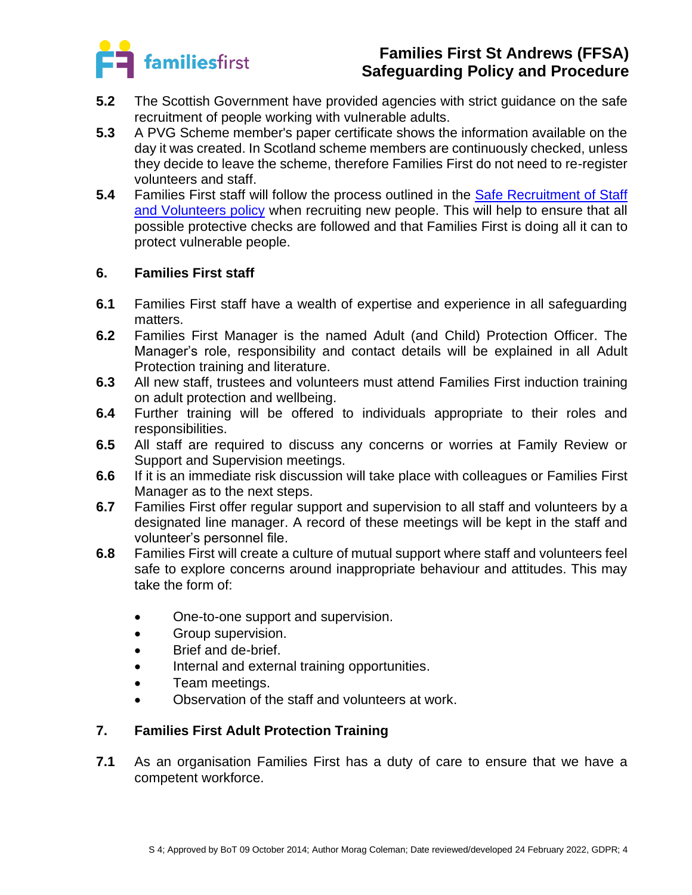

- **5.2** The Scottish Government have provided agencies with strict guidance on the safe recruitment of people working with vulnerable adults.
- **5.3** A PVG Scheme member's paper certificate shows the information available on the day it was created. In Scotland scheme members are continuously checked, unless they decide to leave the scheme, therefore Families First do not need to re-register volunteers and staff.
- **5.4** Families First staff will follow the process outlined in the [Safe Recruitment of Staff](../../HR/Recruitment%20and%20Employment/HR%201%20Safe%20Recruitment%20of%20staff%20and%20volunteers%20statement%2010.04.19%20MC%20JF%20AC.docx)  [and Volunteers policy](../../HR/Recruitment%20and%20Employment/HR%201%20Safe%20Recruitment%20of%20staff%20and%20volunteers%20statement%2010.04.19%20MC%20JF%20AC.docx) when recruiting new people. This will help to ensure that all possible protective checks are followed and that Families First is doing all it can to protect vulnerable people.

## **6. Families First staff**

- **6.1** Families First staff have a wealth of expertise and experience in all safeguarding matters.
- **6.2** Families First Manager is the named Adult (and Child) Protection Officer. The Manager's role, responsibility and contact details will be explained in all Adult Protection training and literature.
- **6.3** All new staff, trustees and volunteers must attend Families First induction training on adult protection and wellbeing.
- **6.4** Further training will be offered to individuals appropriate to their roles and responsibilities.
- **6.5** All staff are required to discuss any concerns or worries at Family Review or Support and Supervision meetings.
- **6.6** If it is an immediate risk discussion will take place with colleagues or Families First Manager as to the next steps.
- **6.7** Families First offer regular support and supervision to all staff and volunteers by a designated line manager. A record of these meetings will be kept in the staff and volunteer's personnel file.
- **6.8** Families First will create a culture of mutual support where staff and volunteers feel safe to explore concerns around inappropriate behaviour and attitudes. This may take the form of:
	- One-to-one support and supervision.
	- Group supervision.
	- Brief and de-brief.
	- Internal and external training opportunities.
	- Team meetings.
	- Observation of the staff and volunteers at work.

## **7. Families First Adult Protection Training**

**7.1** As an organisation Families First has a duty of care to ensure that we have a competent workforce.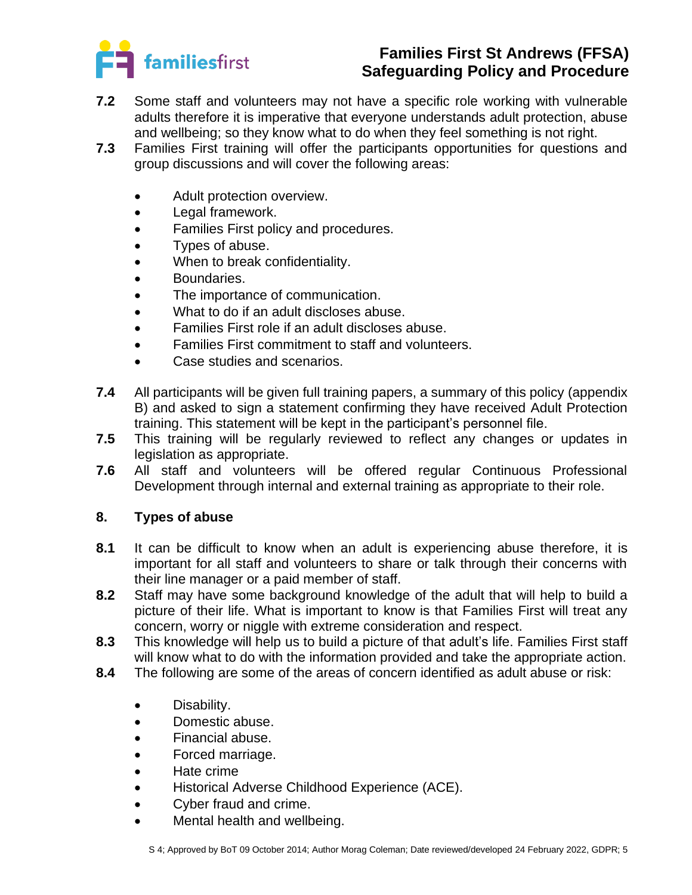

- **7.2** Some staff and volunteers may not have a specific role working with vulnerable adults therefore it is imperative that everyone understands adult protection, abuse and wellbeing; so they know what to do when they feel something is not right.
- **7.3** Families First training will offer the participants opportunities for questions and group discussions and will cover the following areas:
	- Adult protection overview.
	- Legal framework.
	- Families First policy and procedures.
	- Types of abuse.
	- When to break confidentiality.
	- Boundaries.
	- The importance of communication.
	- What to do if an adult discloses abuse.
	- Families First role if an adult discloses abuse.
	- Families First commitment to staff and volunteers.
	- Case studies and scenarios.
- **7.4** All participants will be given full training papers, a summary of this policy (appendix B) and asked to sign a statement confirming they have received Adult Protection training. This statement will be kept in the participant's personnel file.
- **7.5** This training will be regularly reviewed to reflect any changes or updates in legislation as appropriate.
- **7.6** All staff and volunteers will be offered regular Continuous Professional Development through internal and external training as appropriate to their role.

#### **8. Types of abuse**

- **8.1** It can be difficult to know when an adult is experiencing abuse therefore, it is important for all staff and volunteers to share or talk through their concerns with their line manager or a paid member of staff.
- **8.2** Staff may have some background knowledge of the adult that will help to build a picture of their life. What is important to know is that Families First will treat any concern, worry or niggle with extreme consideration and respect.
- **8.3** This knowledge will help us to build a picture of that adult's life. Families First staff will know what to do with the information provided and take the appropriate action.
- **8.4** The following are some of the areas of concern identified as adult abuse or risk:
	- Disability.
	- Domestic abuse.
	- Financial abuse.
	- Forced marriage.
	- Hate crime
	- Historical Adverse Childhood Experience (ACE).
	- Cyber fraud and crime.
	- Mental health and wellbeing.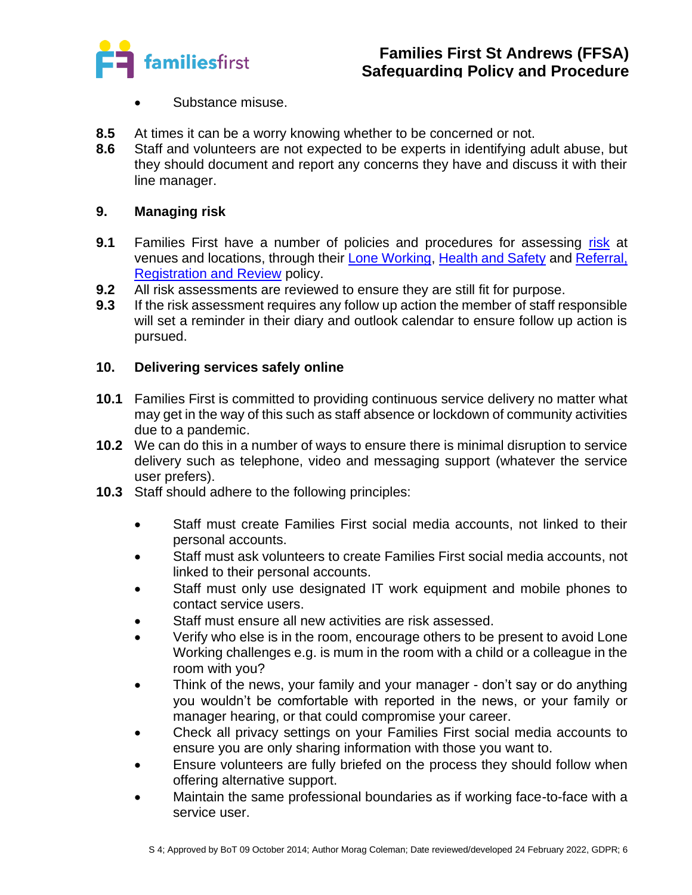

- Substance misuse.
- **8.5** At times it can be a worry knowing whether to be concerned or not.
- **8.6** Staff and volunteers are not expected to be experts in identifying adult abuse, but they should document and report any concerns they have and discuss it with their line manager.

## **9. Managing risk**

- **9.1** Families First have a number of policies and procedures for assessing [risk](../../../Blank%20docs,%20templates/H&S%20forms/HS%209%20Risk%20Assessment/App%20A%20-%20Blank%20Risk%20Assessment%20Form%2008.07.20%20MC.docx) at venues and locations, through their [Lone Working,](../S7%20Lone%20Working%20Policy%20%2006.02.20%20MC%20JF.docx) [Health and Safety](../../Health%20and%20Safety) and [Referral,](../../Operational/Referral%20registration%20and%20review%20policy%2020.07.21%20MC%20SM.docx)  [Registration and Review](../../Operational/Referral%20registration%20and%20review%20policy%2020.07.21%20MC%20SM.docx) policy.
- **9.2** All risk assessments are reviewed to ensure they are still fit for purpose.
- **9.3** If the risk assessment requires any follow up action the member of staff responsible will set a reminder in their diary and outlook calendar to ensure follow up action is pursued.

## **10. Delivering services safely online**

- **10.1** Families First is committed to providing continuous service delivery no matter what may get in the way of this such as staff absence or lockdown of community activities due to a pandemic.
- **10.2** We can do this in a number of ways to ensure there is minimal disruption to service delivery such as telephone, video and messaging support (whatever the service user prefers).
- **10.3** Staff should adhere to the following principles:
	- Staff must create Families First social media accounts, not linked to their personal accounts.
	- Staff must ask volunteers to create Families First social media accounts, not linked to their personal accounts.
	- Staff must only use designated IT work equipment and mobile phones to contact service users.
	- Staff must ensure all new activities are risk assessed.
	- Verify who else is in the room, encourage others to be present to avoid Lone Working challenges e.g. is mum in the room with a child or a colleague in the room with you?
	- Think of the news, your family and your manager don't say or do anything you wouldn't be comfortable with reported in the news, or your family or manager hearing, or that could compromise your career.
	- Check all privacy settings on your Families First social media accounts to ensure you are only sharing information with those you want to.
	- Ensure volunteers are fully briefed on the process they should follow when offering alternative support.
	- Maintain the same professional boundaries as if working face-to-face with a service user.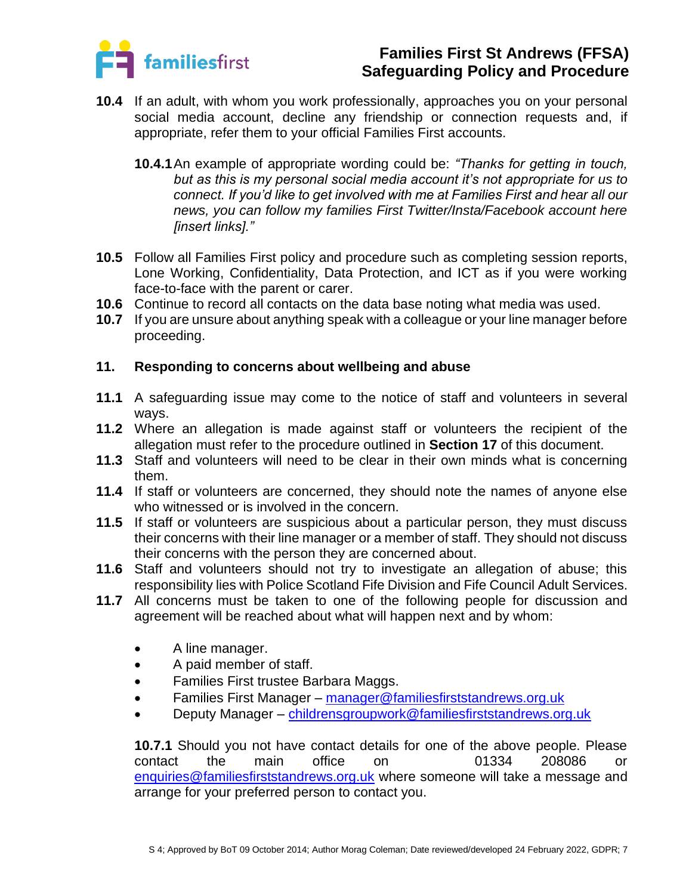

- **10.4** If an adult, with whom you work professionally, approaches you on your personal social media account, decline any friendship or connection requests and, if appropriate, refer them to your official Families First accounts.
	- **10.4.1**An example of appropriate wording could be: *"Thanks for getting in touch, but as this is my personal social media account it's not appropriate for us to connect. If you'd like to get involved with me at Families First and hear all our news, you can follow my families First Twitter/Insta/Facebook account here [insert links]."*
- **10.5** Follow all Families First policy and procedure such as completing session reports, Lone Working, Confidentiality, Data Protection, and ICT as if you were working face-to-face with the parent or carer.
- **10.6** Continue to record all contacts on the data base noting what media was used.
- **10.7** If you are unsure about anything speak with a colleague or your line manager before proceeding.

#### **11. Responding to concerns about wellbeing and abuse**

- **11.1** A safeguarding issue may come to the notice of staff and volunteers in several ways.
- **11.2** Where an allegation is made against staff or volunteers the recipient of the allegation must refer to the procedure outlined in **Section 17** of this document.
- **11.3** Staff and volunteers will need to be clear in their own minds what is concerning them.
- **11.4** If staff or volunteers are concerned, they should note the names of anyone else who witnessed or is involved in the concern.
- **11.5** If staff or volunteers are suspicious about a particular person, they must discuss their concerns with their line manager or a member of staff. They should not discuss their concerns with the person they are concerned about.
- **11.6** Staff and volunteers should not try to investigate an allegation of abuse; this responsibility lies with Police Scotland Fife Division and Fife Council Adult Services.
- **11.7** All concerns must be taken to one of the following people for discussion and agreement will be reached about what will happen next and by whom:
	- A line manager.
	- A paid member of staff.
	- Families First trustee Barbara Maggs.
	- Families First Manager [manager@familiesfirststandrews.org.uk](mailto:manager@familiesfirststandrews.org.uk)
	- Deputy Manager [childrensgroupwork@familiesfirststandrews.org.uk](mailto:childrensgroupwork@familiesfirststandrews.org.uk)

**10.7.1** Should you not have contact details for one of the above people. Please contact the main office on 01334 208086 or [enquiries@familiesfirststandrews.org.uk](mailto:enquiries@familiesfirststandrews.org.uk) where someone will take a message and arrange for your preferred person to contact you.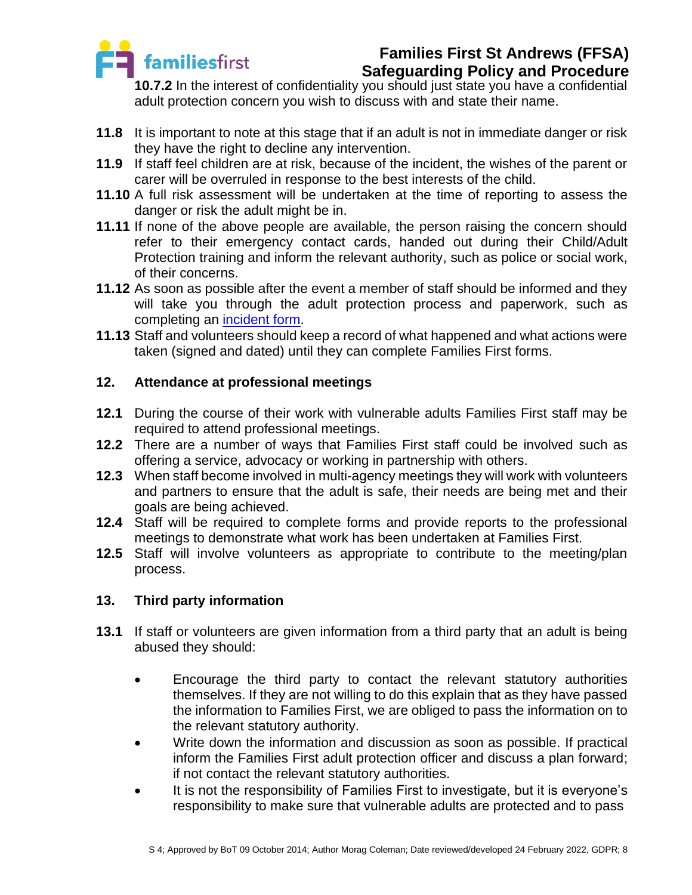

# **Families First St Andrews (FFSA)**

**Safeguarding Policy and Procedure**

**10.7.2** In the interest of confidentiality you should just state you have a confidential adult protection concern you wish to discuss with and state their name.

- **11.8** It is important to note at this stage that if an adult is not in immediate danger or risk they have the right to decline any intervention.
- **11.9** If staff feel children are at risk, because of the incident, the wishes of the parent or carer will be overruled in response to the best interests of the child.
- **11.10** A full risk assessment will be undertaken at the time of reporting to assess the danger or risk the adult might be in.
- **11.11** If none of the above people are available, the person raising the concern should refer to their emergency contact cards, handed out during their Child/Adult Protection training and inform the relevant authority, such as police or social work, of their concerns.
- **11.12** As soon as possible after the event a member of staff should be informed and they will take you through the adult protection process and paperwork, such as completing an [incident form.](../../../Blank%20docs,%20templates/H&S%20forms/HS%2010%20First%20Aid,%20Accident,%20Incident/App%20B%20-%20Accident,%20Illness,%20Incident%20Form%2009.07.20.docx)
- **11.13** Staff and volunteers should keep a record of what happened and what actions were taken (signed and dated) until they can complete Families First forms.

## **12. Attendance at professional meetings**

- **12.1** During the course of their work with vulnerable adults Families First staff may be required to attend professional meetings.
- **12.2** There are a number of ways that Families First staff could be involved such as offering a service, advocacy or working in partnership with others.
- **12.3** When staff become involved in multi-agency meetings they will work with volunteers and partners to ensure that the adult is safe, their needs are being met and their goals are being achieved.
- **12.4** Staff will be required to complete forms and provide reports to the professional meetings to demonstrate what work has been undertaken at Families First.
- **12.5** Staff will involve volunteers as appropriate to contribute to the meeting/plan process.

## **13. Third party information**

- **13.1** If staff or volunteers are given information from a third party that an adult is being abused they should:
	- Encourage the third party to contact the relevant statutory authorities themselves. If they are not willing to do this explain that as they have passed the information to Families First, we are obliged to pass the information on to the relevant statutory authority.
	- Write down the information and discussion as soon as possible. If practical inform the Families First adult protection officer and discuss a plan forward; if not contact the relevant statutory authorities.
	- It is not the responsibility of Families First to investigate, but it is everyone's responsibility to make sure that vulnerable adults are protected and to pass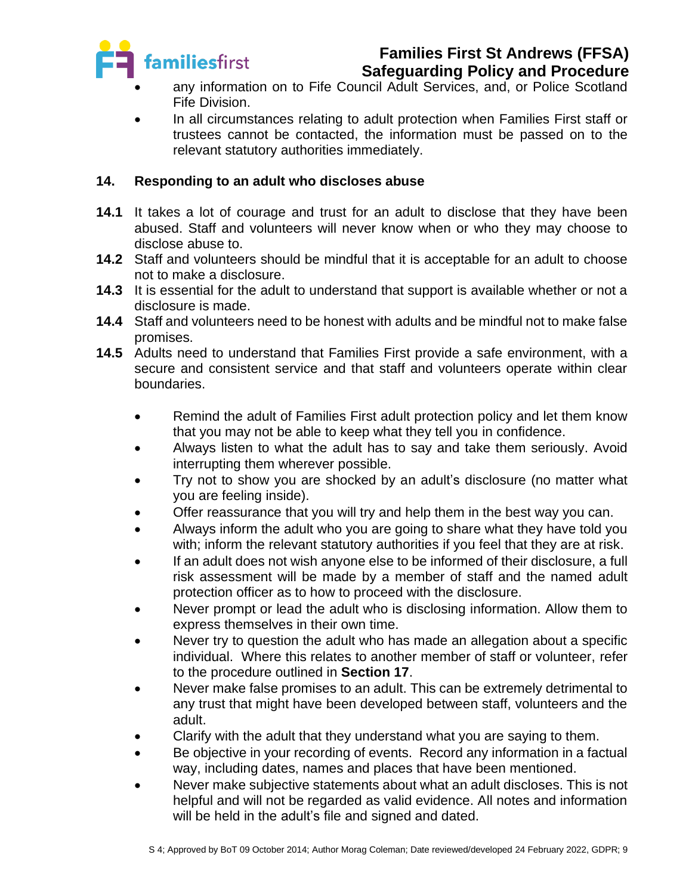

# **Families First St Andrews (FFSA)**

**Safeguarding Policy and Procedure**

- any information on to Fife Council Adult Services, and, or Police Scotland Fife Division.
- In all circumstances relating to adult protection when Families First staff or trustees cannot be contacted, the information must be passed on to the relevant statutory authorities immediately.

## **14. Responding to an adult who discloses abuse**

- **14.1** It takes a lot of courage and trust for an adult to disclose that they have been abused. Staff and volunteers will never know when or who they may choose to disclose abuse to.
- **14.2** Staff and volunteers should be mindful that it is acceptable for an adult to choose not to make a disclosure.
- **14.3** It is essential for the adult to understand that support is available whether or not a disclosure is made.
- **14.4** Staff and volunteers need to be honest with adults and be mindful not to make false promises.
- **14.5** Adults need to understand that Families First provide a safe environment, with a secure and consistent service and that staff and volunteers operate within clear boundaries.
	- Remind the adult of Families First adult protection policy and let them know that you may not be able to keep what they tell you in confidence.
	- Always listen to what the adult has to say and take them seriously. Avoid interrupting them wherever possible.
	- Try not to show you are shocked by an adult's disclosure (no matter what you are feeling inside).
	- Offer reassurance that you will try and help them in the best way you can.
	- Always inform the adult who you are going to share what they have told you with; inform the relevant statutory authorities if you feel that they are at risk.
	- If an adult does not wish anyone else to be informed of their disclosure, a full risk assessment will be made by a member of staff and the named adult protection officer as to how to proceed with the disclosure.
	- Never prompt or lead the adult who is disclosing information. Allow them to express themselves in their own time.
	- Never try to question the adult who has made an allegation about a specific individual. Where this relates to another member of staff or volunteer, refer to the procedure outlined in **Section 17**.
	- Never make false promises to an adult. This can be extremely detrimental to any trust that might have been developed between staff, volunteers and the adult.
	- Clarify with the adult that they understand what you are saying to them.
	- Be objective in your recording of events. Record any information in a factual way, including dates, names and places that have been mentioned.
	- Never make subjective statements about what an adult discloses. This is not helpful and will not be regarded as valid evidence. All notes and information will be held in the adult's file and signed and dated.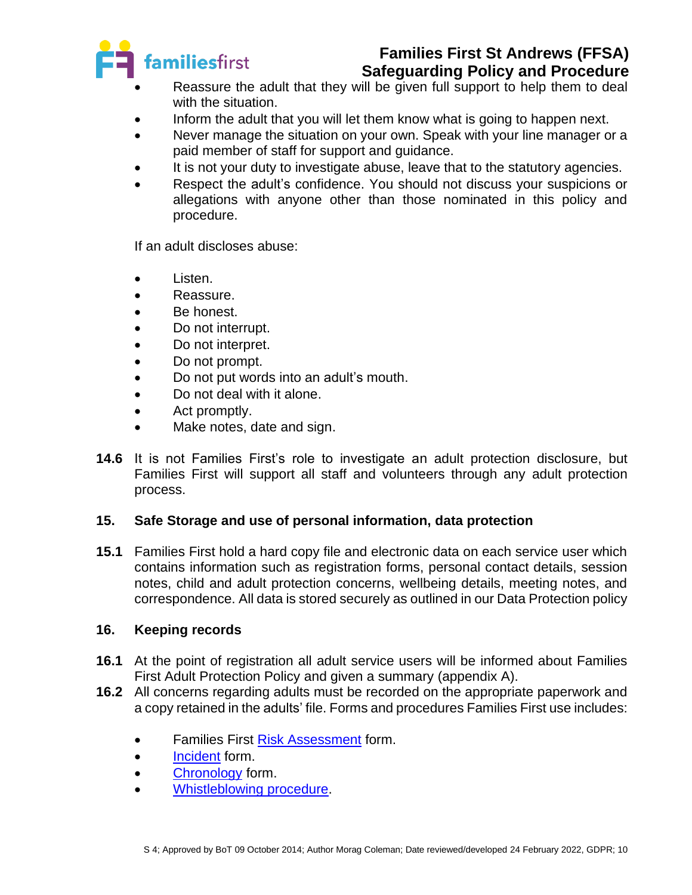

# **Families First St Andrews (FFSA)**

**Safeguarding Policy and Procedure**

- Reassure the adult that they will be given full support to help them to deal with the situation.
- Inform the adult that you will let them know what is going to happen next.
- Never manage the situation on your own. Speak with your line manager or a paid member of staff for support and guidance.
- It is not your duty to investigate abuse, leave that to the statutory agencies.
- Respect the adult's confidence. You should not discuss your suspicions or allegations with anyone other than those nominated in this policy and procedure.

If an adult discloses abuse:

- Listen.
- Reassure.
- Be honest.
- Do not interrupt.
- Do not interpret.
- Do not prompt.
- Do not put words into an adult's mouth.
- Do not deal with it alone.
- Act promptly.
- Make notes, date and sign.
- **14.6** It is not Families First's role to investigate an adult protection disclosure, but Families First will support all staff and volunteers through any adult protection process.

## **15. Safe Storage and use of personal information, data protection**

**15.1** Families First hold a hard copy file and electronic data on each service user which contains information such as registration forms, personal contact details, session notes, child and adult protection concerns, wellbeing details, meeting notes, and correspondence. All data is stored securely as outlined in our Data Protection policy

## **16. Keeping records**

- **16.1** At the point of registration all adult service users will be informed about Families First Adult Protection Policy and given a summary (appendix A).
- **16.2** All concerns regarding adults must be recorded on the appropriate paperwork and a copy retained in the adults' file. Forms and procedures Families First use includes:
	- Families First [Risk Assessment](../../../Blank%20docs,%20templates/H&S%20forms/HS%209%20Risk%20Assessment/App%20A%20-%20Blank%20Risk%20Assessment%20Form%2008.07.20%20MC.docx) form.
	- [Incident](../../../Blank%20docs,%20templates/H&S%20forms/HS%2010%20First%20Aid,%20Accident,%20Incident/App%20B%20-%20Accident,%20Illness,%20Incident%20Form%2009.07.20.docx) form.
	- [Chronology](../../../Blank%20docs,%20templates/Safeguarding/S%203%20Child%20Protection/4%20Blank%20Chronology%20form%2009.03.21.docx) form.
	- [Whistleblowing procedure.](../../HR/Managing%20Performance/HR%2034%20Whistleblowing%20policy%20and%20procedure%2030.11.21%20CR%20MC.docx)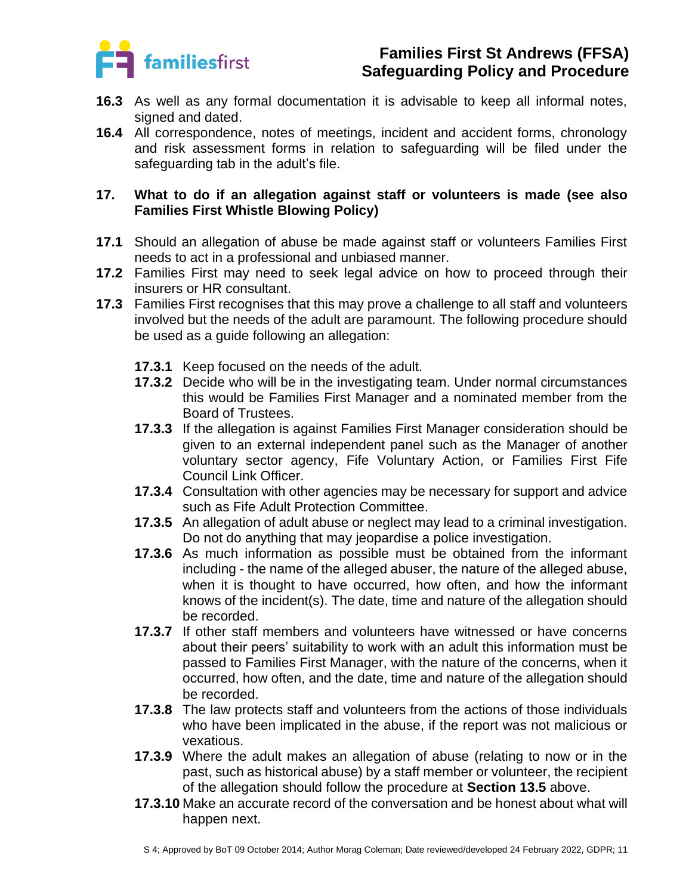

- **16.3** As well as any formal documentation it is advisable to keep all informal notes, signed and dated.
- **16.4** All correspondence, notes of meetings, incident and accident forms, chronology and risk assessment forms in relation to safeguarding will be filed under the safeguarding tab in the adult's file.

## **17. What to do if an allegation against staff or volunteers is made (see also Families First Whistle Blowing Policy)**

- **17.1** Should an allegation of abuse be made against staff or volunteers Families First needs to act in a professional and unbiased manner.
- **17.2** Families First may need to seek legal advice on how to proceed through their insurers or HR consultant.
- **17.3** Families First recognises that this may prove a challenge to all staff and volunteers involved but the needs of the adult are paramount. The following procedure should be used as a guide following an allegation:
	- **17.3.1** Keep focused on the needs of the adult.
	- **17.3.2** Decide who will be in the investigating team. Under normal circumstances this would be Families First Manager and a nominated member from the Board of Trustees.
	- **17.3.3** If the allegation is against Families First Manager consideration should be given to an external independent panel such as the Manager of another voluntary sector agency, Fife Voluntary Action, or Families First Fife Council Link Officer.
	- **17.3.4** Consultation with other agencies may be necessary for support and advice such as Fife Adult Protection Committee.
	- **17.3.5** An allegation of adult abuse or neglect may lead to a criminal investigation. Do not do anything that may jeopardise a police investigation.
	- **17.3.6** As much information as possible must be obtained from the informant including - the name of the alleged abuser, the nature of the alleged abuse, when it is thought to have occurred, how often, and how the informant knows of the incident(s). The date, time and nature of the allegation should be recorded.
	- **17.3.7** If other staff members and volunteers have witnessed or have concerns about their peers' suitability to work with an adult this information must be passed to Families First Manager, with the nature of the concerns, when it occurred, how often, and the date, time and nature of the allegation should be recorded.
	- **17.3.8** The law protects staff and volunteers from the actions of those individuals who have been implicated in the abuse, if the report was not malicious or vexatious.
	- **17.3.9** Where the adult makes an allegation of abuse (relating to now or in the past, such as historical abuse) by a staff member or volunteer, the recipient of the allegation should follow the procedure at **Section 13.5** above.
	- **17.3.10** Make an accurate record of the conversation and be honest about what will happen next.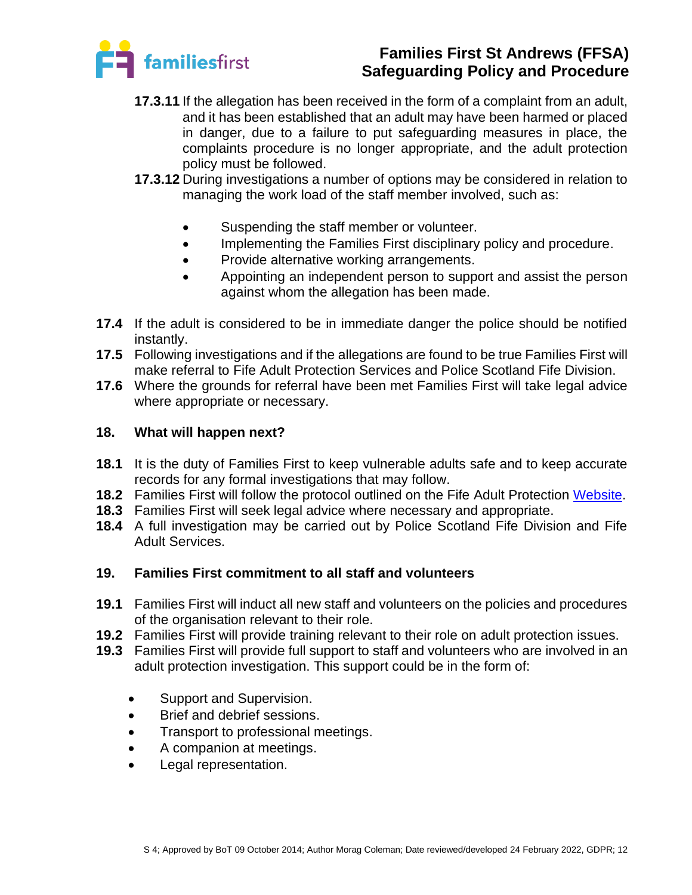

- **17.3.11** If the allegation has been received in the form of a complaint from an adult, and it has been established that an adult may have been harmed or placed in danger, due to a failure to put safeguarding measures in place, the complaints procedure is no longer appropriate, and the adult protection policy must be followed.
- **17.3.12** During investigations a number of options may be considered in relation to managing the work load of the staff member involved, such as:
	- Suspending the staff member or volunteer.
	- Implementing the Families First disciplinary policy and procedure.
	- Provide alternative working arrangements.
	- Appointing an independent person to support and assist the person against whom the allegation has been made.
- **17.4** If the adult is considered to be in immediate danger the police should be notified instantly.
- **17.5** Following investigations and if the allegations are found to be true Families First will make referral to Fife Adult Protection Services and Police Scotland Fife Division.
- **17.6** Where the grounds for referral have been met Families First will take legal advice where appropriate or necessary.

## **18. What will happen next?**

- **18.1** It is the duty of Families First to keep vulnerable adults safe and to keep accurate records for any formal investigations that may follow.
- **18.2** Families First will follow the protocol outlined on the Fife Adult Protection [Website.](https://www.fife.gov.uk/kb/docs/articles/health-and-social-care2/help-for-adults-and-older-people/adult-support-and-protection)
- **18.3** Families First will seek legal advice where necessary and appropriate.
- **18.4** A full investigation may be carried out by Police Scotland Fife Division and Fife Adult Services.

## **19. Families First commitment to all staff and volunteers**

- **19.1** Families First will induct all new staff and volunteers on the policies and procedures of the organisation relevant to their role.
- **19.2** Families First will provide training relevant to their role on adult protection issues.
- **19.3** Families First will provide full support to staff and volunteers who are involved in an adult protection investigation. This support could be in the form of:
	- Support and Supervision.
	- Brief and debrief sessions.
	- Transport to professional meetings.
	- A companion at meetings.
	- Legal representation.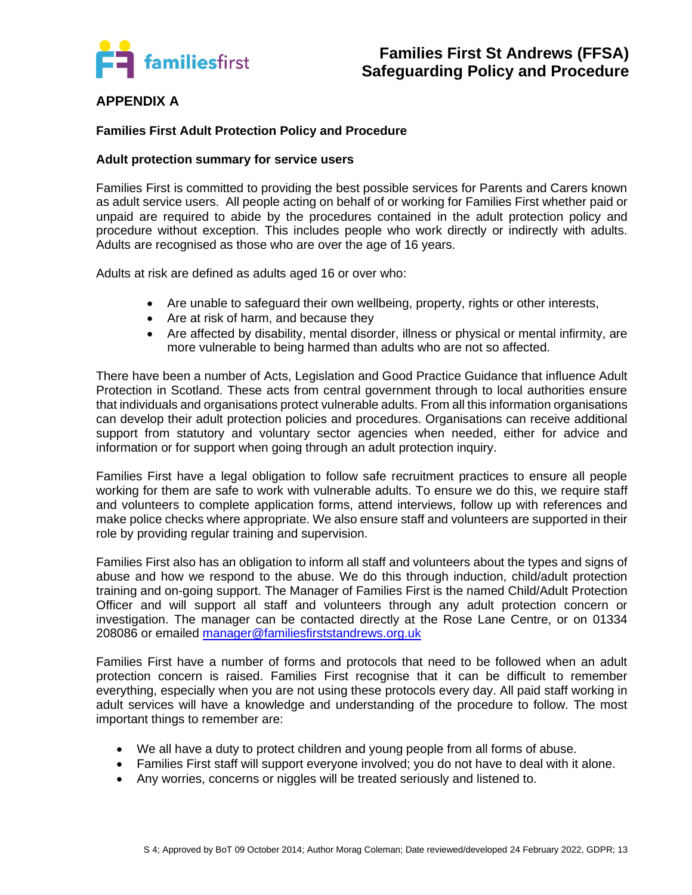

## **APPENDIX A**

#### **Families First Adult Protection Policy and Procedure**

#### **Adult protection summary for service users**

Families First is committed to providing the best possible services for Parents and Carers known as adult service users. All people acting on behalf of or working for Families First whether paid or unpaid are required to abide by the procedures contained in the adult protection policy and procedure without exception. This includes people who work directly or indirectly with adults. Adults are recognised as those who are over the age of 16 years.

Adults at risk are defined as adults aged 16 or over who:

- Are unable to safeguard their own wellbeing, property, rights or other interests,
- Are at risk of harm, and because they
- Are affected by disability, mental disorder, illness or physical or mental infirmity, are more vulnerable to being harmed than adults who are not so affected.

There have been a number of Acts, Legislation and Good Practice Guidance that influence Adult Protection in Scotland. These acts from central government through to local authorities ensure that individuals and organisations protect vulnerable adults. From all this information organisations can develop their adult protection policies and procedures. Organisations can receive additional support from statutory and voluntary sector agencies when needed, either for advice and information or for support when going through an adult protection inquiry.

Families First have a legal obligation to follow safe recruitment practices to ensure all people working for them are safe to work with vulnerable adults. To ensure we do this, we require staff and volunteers to complete application forms, attend interviews, follow up with references and make police checks where appropriate. We also ensure staff and volunteers are supported in their role by providing regular training and supervision.

Families First also has an obligation to inform all staff and volunteers about the types and signs of abuse and how we respond to the abuse. We do this through induction, child/adult protection training and on-going support. The Manager of Families First is the named Child/Adult Protection Officer and will support all staff and volunteers through any adult protection concern or investigation. The manager can be contacted directly at the Rose Lane Centre, or on 01334 208086 or emailed [manager@familiesfirststandrews.org.uk](mailto:manager@familiesfirststandrews.org.uk)

Families First have a number of forms and protocols that need to be followed when an adult protection concern is raised. Families First recognise that it can be difficult to remember everything, especially when you are not using these protocols every day. All paid staff working in adult services will have a knowledge and understanding of the procedure to follow. The most important things to remember are:

- We all have a duty to protect children and young people from all forms of abuse.
- Families First staff will support everyone involved; you do not have to deal with it alone.
- Any worries, concerns or niggles will be treated seriously and listened to.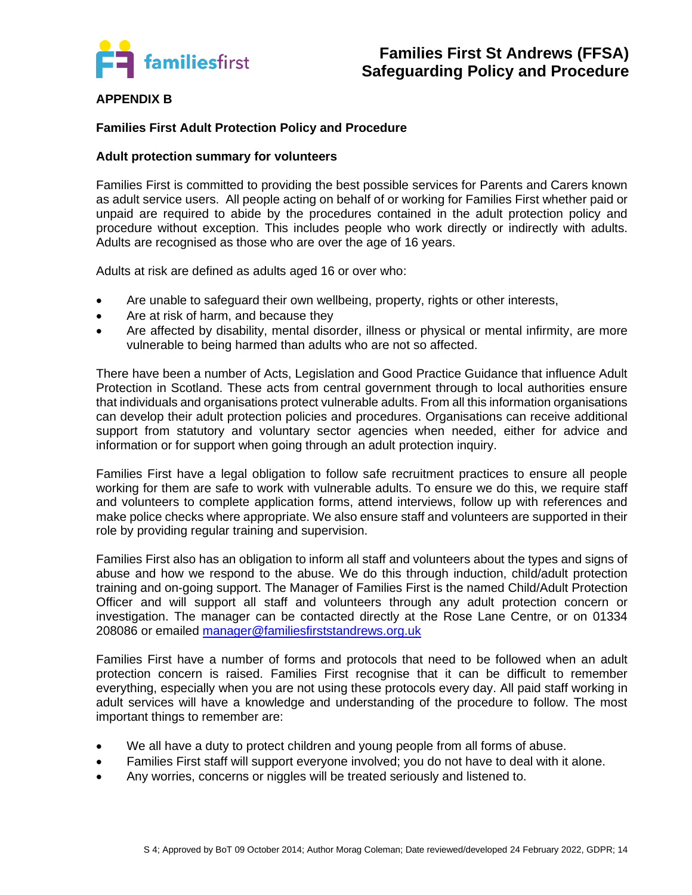

#### **APPENDIX B**

#### **Families First Adult Protection Policy and Procedure**

#### **Adult protection summary for volunteers**

Families First is committed to providing the best possible services for Parents and Carers known as adult service users. All people acting on behalf of or working for Families First whether paid or unpaid are required to abide by the procedures contained in the adult protection policy and procedure without exception. This includes people who work directly or indirectly with adults. Adults are recognised as those who are over the age of 16 years.

Adults at risk are defined as adults aged 16 or over who:

- Are unable to safeguard their own wellbeing, property, rights or other interests,
- Are at risk of harm, and because they
- Are affected by disability, mental disorder, illness or physical or mental infirmity, are more vulnerable to being harmed than adults who are not so affected.

There have been a number of Acts, Legislation and Good Practice Guidance that influence Adult Protection in Scotland. These acts from central government through to local authorities ensure that individuals and organisations protect vulnerable adults. From all this information organisations can develop their adult protection policies and procedures. Organisations can receive additional support from statutory and voluntary sector agencies when needed, either for advice and information or for support when going through an adult protection inquiry.

Families First have a legal obligation to follow safe recruitment practices to ensure all people working for them are safe to work with vulnerable adults. To ensure we do this, we require staff and volunteers to complete application forms, attend interviews, follow up with references and make police checks where appropriate. We also ensure staff and volunteers are supported in their role by providing regular training and supervision.

Families First also has an obligation to inform all staff and volunteers about the types and signs of abuse and how we respond to the abuse. We do this through induction, child/adult protection training and on-going support. The Manager of Families First is the named Child/Adult Protection Officer and will support all staff and volunteers through any adult protection concern or investigation. The manager can be contacted directly at the Rose Lane Centre, or on 01334 208086 or emailed [manager@familiesfirststandrews.org.uk](mailto:manager@familiesfirststandrews.org.uk)

Families First have a number of forms and protocols that need to be followed when an adult protection concern is raised. Families First recognise that it can be difficult to remember everything, especially when you are not using these protocols every day. All paid staff working in adult services will have a knowledge and understanding of the procedure to follow. The most important things to remember are:

- We all have a duty to protect children and young people from all forms of abuse.
- Families First staff will support everyone involved; you do not have to deal with it alone.
- Any worries, concerns or niggles will be treated seriously and listened to.